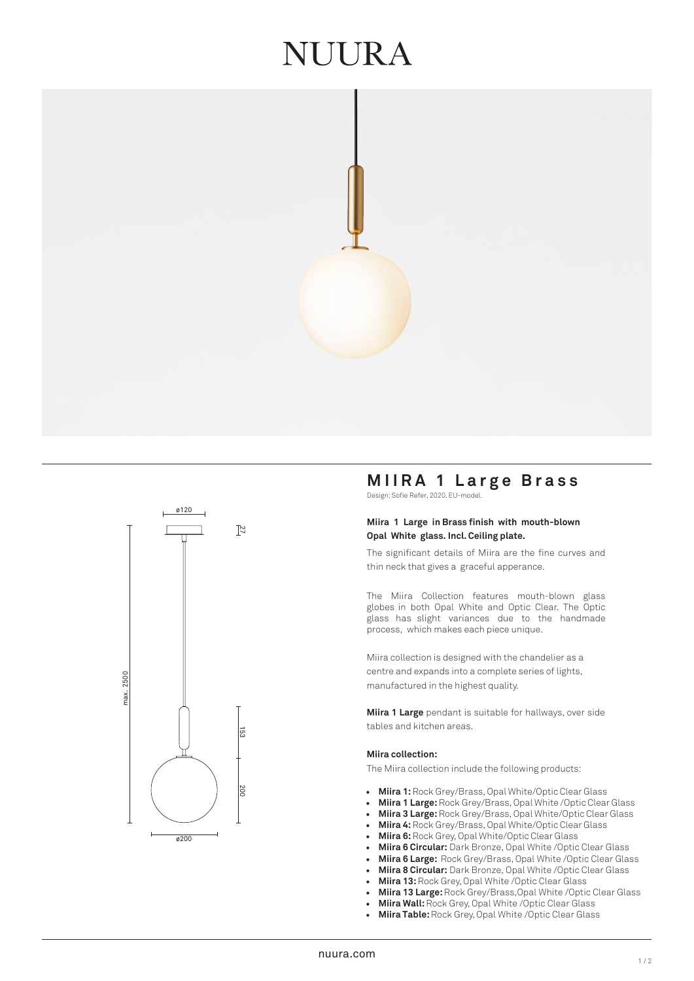## UURA





### **MIIRA 1 Large Brass**

Design: Sofie Refer, 2020. EU-model.

#### **Miira 1 Large in Brass finish with mouth-blown Opal White glass. Incl. Ceiling plate.**

The significant details of Miira are the fine curves and thin neck that gives a graceful apperance.

The Miira Collection features mouth-blown glass globes in both Opal White and Optic Clear. The Optic glass has slight variances due to the handmade process, which makes each piece unique.

Miira collection is designed with the chandelier as a centre and expands into a complete series of lights, manufactured in the highest quality.

**Miira 1 Large** pendant is suitable for hallways, over side tables and kitchen areas.

#### **Miira collection:**

The Miira collection include the following products:

- **Miira 1:** Rock Grey/Brass, Opal White/Optic Clear Glass
- **Miira 1 Large:** Rock Grey/Brass, Opal White /Optic Clear Glass
- **Miira 3 Large:**Rock Grey/Brass, Opal White/Optic Clear Glass
- **Miira 4:** Rock Grey/Brass, Opal White/Optic Clear Glass
- **Miira 6:**Rock Grey, Opal White/Optic Clear Glass
- **Miira 6 Circular:** Dark Bronze, Opal White /Optic Clear Glass
- **Miira 6 Large:** Rock Grey/Brass, Opal White /Optic Clear Glass
- **Miira 8 Circular:** Dark Bronze, Opal White /Optic Clear Glass
- **Miira 13:** Rock Grey, Opal White /Optic Clear Glass
- **Miira 13 Large:** Rock Grey/Brass,Opal White /Optic Clear Glass
- **Miira Wall:**Rock Grey, Opal White /Optic Clear Glass
- **Miira Table:** Rock Grey, Opal White /Optic Clear Glass